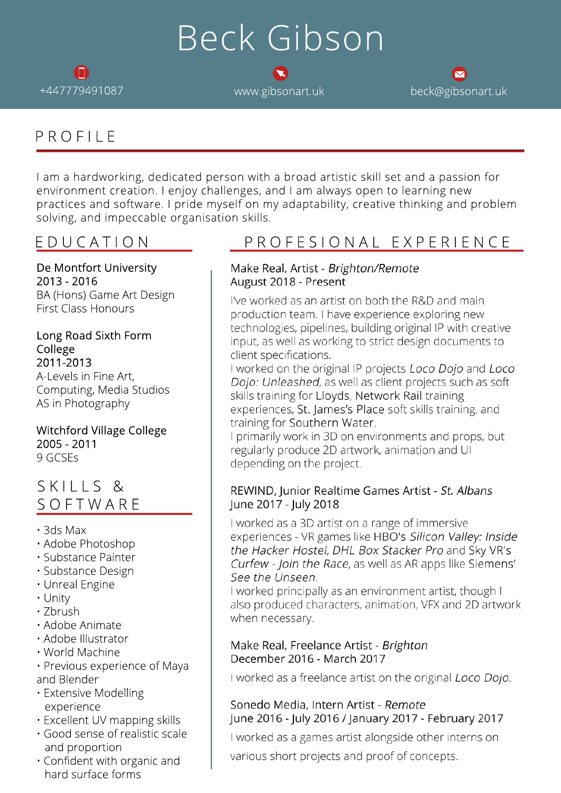# Beck Gibson



+447779491087 www.gibsonart.uk beck@gibsonart.uk

# PROFILE

I am a hardworking, dedicated person with a broad artistic skill set and a passion for environment creation. I enjoy challenges, and I am always open to learning new practices and software. I pride myself on my adaptability, creative thinking and problem solving, and impeccable organisation skills.

De Montfort University 2013 - 2016 BA (Hons) Game Art Design First Class Honours

#### Long Road Sixth Form College 2011-2013

A-Levels in Fine Art, Computing, Media Studios AS in Photography

## Witchford Village College 2005 - 2011

9 GCSEs

# SKILLS & SOFTWARE

- 3ds Max
- Adobe Photoshop
- Substance Painter
- Substance Design
- Unreal Engine
- Unity
- Zbrush
- Adobe Animate
- Adobe Illustrator
- World Machine
- Previous experience of Maya and Blender
- Extensive Modelling experience
- Excellent UV mapping skills
- Good sense of realistic scale and proportion
- Confident with organic and hard surface forms

# EDUCATION PROFESIONAL EXPERIENCE

#### Make Real, Artist - Brighton/Remote August 2018 - Present

I've worked as an artist on both the R&D and main production team. I have experience exploring new technologies, pipelines, building original IP with creative input, as well as working to strict design documents to client specifications.

I worked on the original IP projects Loco Dojo and Loco Dojo: Unleashed, as well as client projects such as soft skills training for Lloyds, Network Rail training experiences, St. James's Place soft skills training, and training for Southern Water.

I primarily work in 3D on environments and props, but regularly produce 2D artwork, animation and UI depending on the project.

### REWIND, Junior Realtime Games Artist - St. Albans June 2017 - July 2018

I worked as a 3D artist on a range of immersive experiences - VR games like HBO's Silicon Valley: Inside the Hacker Hostel, DHL Box Stacker Pro and Sky VR's Curfew - Join the Race, as well as AR apps like Siemens' See the Unseen.

I worked principally as an environment artist, though I also produced characters, animation, VFX and 2D artwork when necessary.

#### Make Real, Freelance Artist - Brighton December 2016 - March 2017

I worked as a freelance artist on the original Loco Dojo.

#### Sonedo Media, Intern Artist - Remote June 2016 - July 2016 / January 2017 - February 2017

I worked as a games artist alongside other interns on

various short projects and proof of concepts.